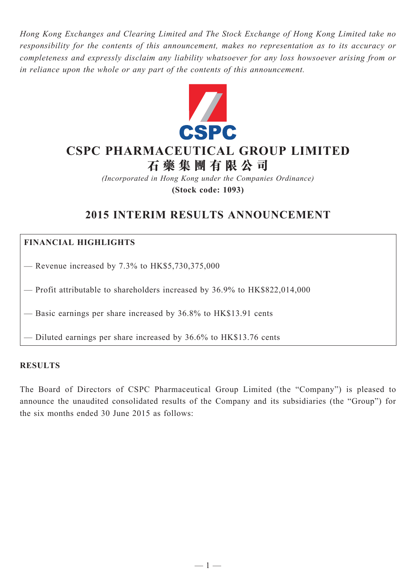*Hong Kong Exchanges and Clearing Limited and The Stock Exchange of Hong Kong Limited take no responsibility for the contents of this announcement, makes no representation as to its accuracy or completeness and expressly disclaim any liability whatsoever for any loss howsoever arising from or in reliance upon the whole or any part of the contents of this announcement.*



# **CSPC Pharmaceutical Group Limited**

**石 藥 集 團 有 限 公 司**

*(Incorporated in Hong Kong under the Companies Ordinance)* **(Stock code: 1093)**

# **2015 INTERIM RESULTS ANNOUNCEMENT**

# **FINANCIAL HIGHLIGHTS**

— Revenue increased by  $7.3\%$  to HK\$5,730,375,000

— Profit attributable to shareholders increased by 36.9% to HK\$822,014,000

— Basic earnings per share increased by 36.8% to HK\$13.91 cents

— Diluted earnings per share increased by 36.6% to HK\$13.76 cents

#### **Results**

The Board of Directors of CSPC Pharmaceutical Group Limited (the "Company") is pleased to announce the unaudited consolidated results of the Company and its subsidiaries (the "Group") for the six months ended 30 June 2015 as follows: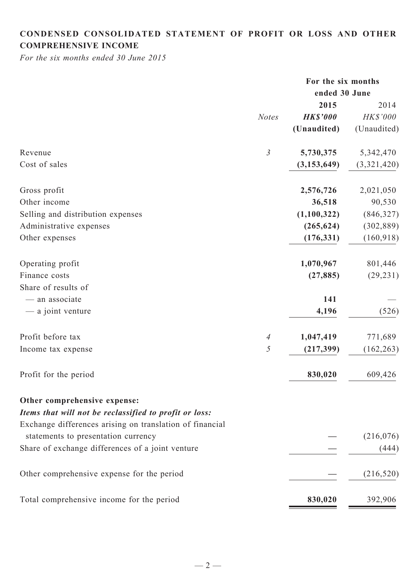# **CONDENSED CONSOLIDATED STATEMENT OF PROFIT OR LOSS AND OTHER COMPREHENSIVE INCOME**

*For the six months ended 30 June 2015*

|                                                          |                | For the six months |             |
|----------------------------------------------------------|----------------|--------------------|-------------|
|                                                          |                | ended 30 June      |             |
|                                                          |                | 2015               | 2014        |
|                                                          | <b>Notes</b>   | <b>HK\$'000</b>    | HK\$'000    |
|                                                          |                | (Unaudited)        | (Unaudited) |
| Revenue                                                  | $\mathfrak{Z}$ | 5,730,375          | 5,342,470   |
| Cost of sales                                            |                | (3, 153, 649)      | (3,321,420) |
| Gross profit                                             |                | 2,576,726          | 2,021,050   |
| Other income                                             |                | 36,518             | 90,530      |
| Selling and distribution expenses                        |                | (1,100,322)        | (846, 327)  |
| Administrative expenses                                  |                | (265, 624)         | (302, 889)  |
| Other expenses                                           |                | (176, 331)         | (160, 918)  |
| Operating profit                                         |                | 1,070,967          | 801,446     |
| Finance costs                                            |                | (27, 885)          | (29, 231)   |
| Share of results of                                      |                |                    |             |
| - an associate                                           |                | 141                |             |
| — a joint venture                                        |                | 4,196              | (526)       |
| Profit before tax                                        | $\overline{A}$ | 1,047,419          | 771,689     |
| Income tax expense                                       | 5              | (217, 399)         | (162, 263)  |
|                                                          |                |                    |             |
| Profit for the period                                    |                | 830,020            | 609,426     |
| Other comprehensive expense:                             |                |                    |             |
| Items that will not be reclassified to profit or loss:   |                |                    |             |
| Exchange differences arising on translation of financial |                |                    |             |
| statements to presentation currency                      |                |                    | (216, 076)  |
| Share of exchange differences of a joint venture         |                |                    | (444)       |
| Other comprehensive expense for the period               |                |                    | (216, 520)  |
| Total comprehensive income for the period                |                | 830,020            | 392,906     |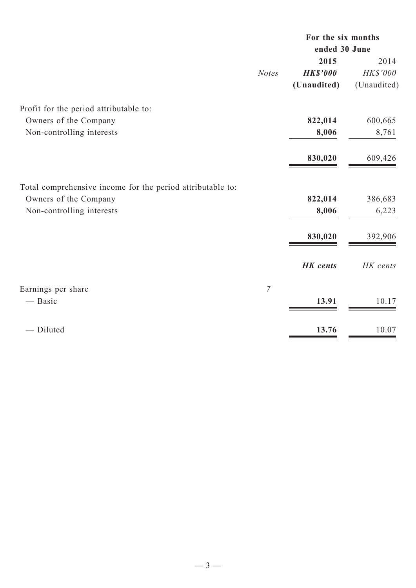|                | For the six months<br>ended 30 June |             |  |
|----------------|-------------------------------------|-------------|--|
|                | 2015                                | 2014        |  |
| <b>Notes</b>   | <b>HK\$'000</b>                     | HK\$'000    |  |
|                | (Unaudited)                         | (Unaudited) |  |
|                |                                     |             |  |
|                | 822,014                             | 600,665     |  |
|                | 8,006                               | 8,761       |  |
|                | 830,020                             | 609,426     |  |
|                |                                     |             |  |
|                |                                     | 386,683     |  |
|                | 8,006                               | 6,223       |  |
|                | 830,020                             | 392,906     |  |
|                |                                     |             |  |
|                | <b>HK</b> cents                     | HK cents    |  |
| $\overline{7}$ |                                     |             |  |
|                | 13.91                               | 10.17       |  |
|                | 13.76                               | 10.07       |  |
|                |                                     | 822,014     |  |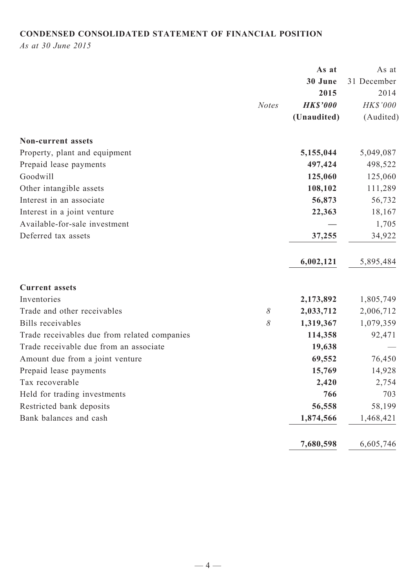# **CONDENSED CONSOLIDATED STATEMENT OF FINANCIAL POSITION**

*As at 30 June 2015*

|                                              |              | As at           | As at       |
|----------------------------------------------|--------------|-----------------|-------------|
|                                              |              | 30 June         | 31 December |
|                                              |              | 2015            | 2014        |
|                                              | <b>Notes</b> | <b>HK\$'000</b> | HK\$'000    |
|                                              |              | (Unaudited)     | (Audited)   |
| <b>Non-current assets</b>                    |              |                 |             |
| Property, plant and equipment                |              | 5,155,044       | 5,049,087   |
| Prepaid lease payments                       |              | 497,424         | 498,522     |
| Goodwill                                     |              | 125,060         | 125,060     |
| Other intangible assets                      |              | 108,102         | 111,289     |
| Interest in an associate                     |              | 56,873          | 56,732      |
| Interest in a joint venture                  |              | 22,363          | 18,167      |
| Available-for-sale investment                |              |                 | 1,705       |
| Deferred tax assets                          |              | 37,255          | 34,922      |
|                                              |              | 6,002,121       | 5,895,484   |
| <b>Current assets</b>                        |              |                 |             |
| Inventories                                  |              | 2,173,892       | 1,805,749   |
| Trade and other receivables                  | $\delta$     | 2,033,712       | 2,006,712   |
| <b>Bills</b> receivables                     | $\delta$     | 1,319,367       | 1,079,359   |
| Trade receivables due from related companies |              | 114,358         | 92,471      |
| Trade receivable due from an associate       |              | 19,638          |             |
| Amount due from a joint venture              |              | 69,552          | 76,450      |
| Prepaid lease payments                       |              | 15,769          | 14,928      |
| Tax recoverable                              |              | 2,420           | 2,754       |
| Held for trading investments                 |              | 766             | 703         |
| Restricted bank deposits                     |              | 56,558          | 58,199      |
| Bank balances and cash                       |              | 1,874,566       | 1,468,421   |
|                                              |              | 7,680,598       | 6,605,746   |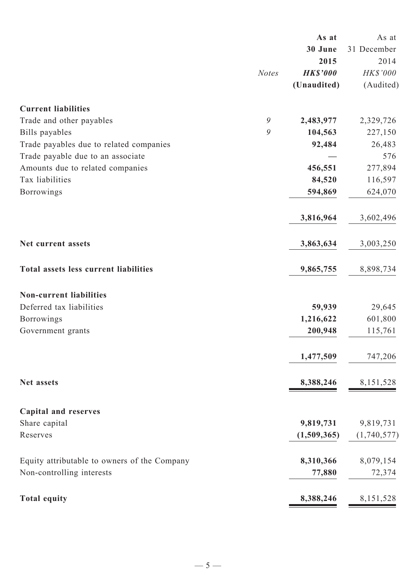|                                              |              | As at           | As at       |
|----------------------------------------------|--------------|-----------------|-------------|
|                                              |              | 30 June         | 31 December |
|                                              |              | 2015            | 2014        |
|                                              | <b>Notes</b> | <b>HK\$'000</b> | HK\$'000    |
|                                              |              | (Unaudited)     | (Audited)   |
| <b>Current liabilities</b>                   |              |                 |             |
| Trade and other payables                     | 9            | 2,483,977       | 2,329,726   |
| Bills payables                               | 9            | 104,563         | 227,150     |
| Trade payables due to related companies      |              | 92,484          | 26,483      |
| Trade payable due to an associate            |              |                 | 576         |
| Amounts due to related companies             |              | 456,551         | 277,894     |
| Tax liabilities                              |              | 84,520          | 116,597     |
| Borrowings                                   |              | 594,869         | 624,070     |
|                                              |              | 3,816,964       | 3,602,496   |
| Net current assets                           |              | 3,863,634       | 3,003,250   |
| Total assets less current liabilities        |              | 9,865,755       | 8,898,734   |
| <b>Non-current liabilities</b>               |              |                 |             |
| Deferred tax liabilities                     |              | 59,939          | 29,645      |
| <b>Borrowings</b>                            |              | 1,216,622       | 601,800     |
| Government grants                            |              | 200,948         | 115,761     |
|                                              |              | 1,477,509       | 747,206     |
| Net assets                                   |              | 8,388,246       | 8, 151, 528 |
|                                              |              |                 |             |
| <b>Capital and reserves</b>                  |              |                 |             |
| Share capital                                |              | 9,819,731       | 9,819,731   |
| Reserves                                     |              | (1,509,365)     | (1,740,577) |
| Equity attributable to owners of the Company |              | 8,310,366       | 8,079,154   |
| Non-controlling interests                    |              | 77,880          | 72,374      |
| <b>Total equity</b>                          |              | 8,388,246       | 8, 151, 528 |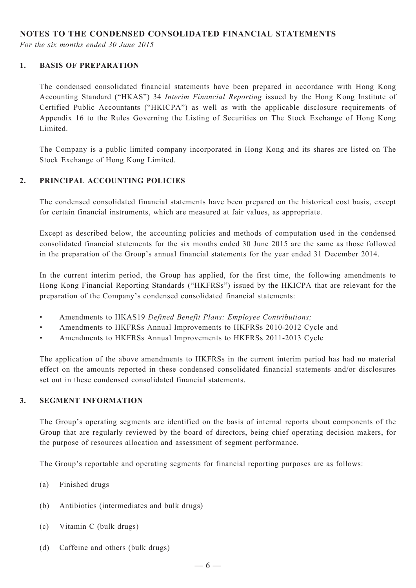#### **NOTES TO THE CONDENSED CONSOLIDATED FINANCIAL STATEMENTS**

*For the six months ended 30 June 2015*

#### **1. BASIS OF PREPARATION**

The condensed consolidated financial statements have been prepared in accordance with Hong Kong Accounting Standard ("HKAS") 34 *Interim Financial Reporting* issued by the Hong Kong Institute of Certified Public Accountants ("HKICPA") as well as with the applicable disclosure requirements of Appendix 16 to the Rules Governing the Listing of Securities on The Stock Exchange of Hong Kong Limited.

The Company is a public limited company incorporated in Hong Kong and its shares are listed on The Stock Exchange of Hong Kong Limited.

#### **2. PRINCIPAL ACCOUNTING POLICIES**

The condensed consolidated financial statements have been prepared on the historical cost basis, except for certain financial instruments, which are measured at fair values, as appropriate.

Except as described below, the accounting policies and methods of computation used in the condensed consolidated financial statements for the six months ended 30 June 2015 are the same as those followed in the preparation of the Group's annual financial statements for the year ended 31 December 2014.

In the current interim period, the Group has applied, for the first time, the following amendments to Hong Kong Financial Reporting Standards ("HKFRSs") issued by the HKICPA that are relevant for the preparation of the Company's condensed consolidated financial statements:

- Amendments to HKAS19 *Defined Benefit Plans: Employee Contributions;*
- • Amendments to HKFRSs Annual Improvements to HKFRSs 2010-2012 Cycle and
- Amendments to HKFRSs Annual Improvements to HKFRSs 2011-2013 Cycle

The application of the above amendments to HKFRSs in the current interim period has had no material effect on the amounts reported in these condensed consolidated financial statements and/or disclosures set out in these condensed consolidated financial statements.

#### **3. SEGMENT INFORMATION**

The Group's operating segments are identified on the basis of internal reports about components of the Group that are regularly reviewed by the board of directors, being chief operating decision makers, for the purpose of resources allocation and assessment of segment performance.

The Group's reportable and operating segments for financial reporting purposes are as follows:

- (a) Finished drugs
- (b) Antibiotics (intermediates and bulk drugs)
- (c) Vitamin C (bulk drugs)
- (d) Caffeine and others (bulk drugs)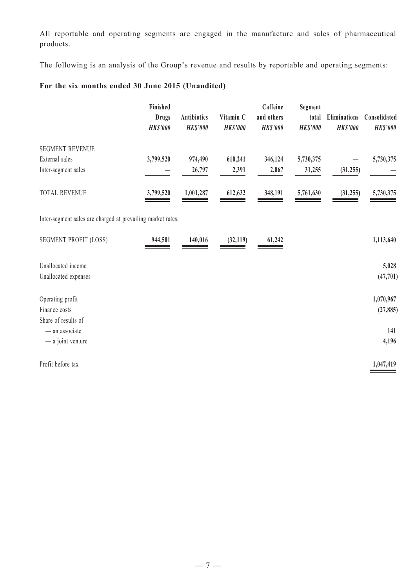All reportable and operating segments are engaged in the manufacture and sales of pharmaceutical products.

The following is an analysis of the Group's revenue and results by reportable and operating segments:

# **For the six months ended 30 June 2015 (Unaudited)**

|                                                                 | Finished<br><b>Drugs</b><br><b>HK\$'000</b> | <b>Antibiotics</b><br><b>HK\$'000</b> | Vitamin C<br><b>HK\$'000</b> | Caffeine<br>and others<br><b>HK\$'000</b> | Segment<br>total<br><b>HK\$'000</b> | <b>Eliminations</b><br><b>HK\$'000</b> | Consolidated<br><b>HK\$'000</b> |
|-----------------------------------------------------------------|---------------------------------------------|---------------------------------------|------------------------------|-------------------------------------------|-------------------------------------|----------------------------------------|---------------------------------|
| <b>SEGMENT REVENUE</b><br>External sales<br>Inter-segment sales | 3,799,520                                   | 974,490<br>26,797                     | 610,241<br>2,391             | 346,124<br>2,067                          | 5,730,375<br>31,255                 | (31, 255)                              | 5,730,375                       |
| TOTAL REVENUE                                                   | 3,799,520                                   | 1,001,287                             | 612,632                      | 348,191                                   | 5,761,630                           | (31, 255)                              | 5,730,375                       |
| Inter-segment sales are charged at prevailing market rates.     |                                             |                                       |                              |                                           |                                     |                                        |                                 |
| <b>SEGMENT PROFIT (LOSS)</b>                                    | 944,501                                     | 140,016                               | (32,119)                     | 61,242                                    |                                     |                                        | 1,113,640                       |
| Unallocated income<br>Unallocated expenses                      |                                             |                                       |                              |                                           |                                     |                                        | 5,028<br>(47, 701)              |
| Operating profit<br>Finance costs<br>Share of results of        |                                             |                                       |                              |                                           |                                     |                                        | 1,070,967<br>(27, 885)          |
| - an associate<br>- a joint venture                             |                                             |                                       |                              |                                           |                                     |                                        | 141<br>4,196                    |
| Profit before tax                                               |                                             |                                       |                              |                                           |                                     |                                        | 1,047,419                       |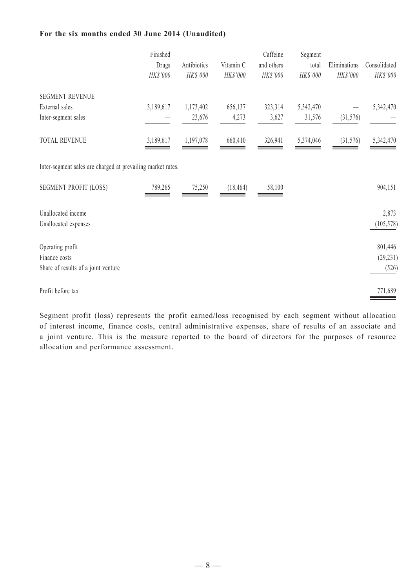#### **For the six months ended 30 June 2014 (Unaudited)**

|                                                                          | Finished<br>Drugs<br>HK\$'000 | Antibiotics<br>HK\$'000 | Vitamin C<br>HK\$'000 | Caffeine<br>and others<br>HK\$'000 | Segment<br>total<br>HK\$'000 | Eliminations<br>HK\$'000 | Consolidated<br>$HK\$ '000    |
|--------------------------------------------------------------------------|-------------------------------|-------------------------|-----------------------|------------------------------------|------------------------------|--------------------------|-------------------------------|
| <b>SEGMENT REVENUE</b><br>External sales<br>Inter-segment sales          | 3,189,617                     | 1,173,402<br>23,676     | 656,137<br>4,273      | 323,314<br>3,627                   | 5,342,470<br>31,576          | (31, 576)                | 5,342,470                     |
| <b>TOTAL REVENUE</b>                                                     | 3,189,617                     | 1,197,078               | 660,410               | 326,941                            | 5,374,046                    | (31, 576)                | 5,342,470                     |
| Inter-segment sales are charged at prevailing market rates.              |                               |                         |                       |                                    |                              |                          |                               |
| <b>SEGMENT PROFIT (LOSS)</b>                                             | 789,265                       | 75,250                  | (18, 464)             | 58,100                             |                              |                          | 904,151                       |
| Unallocated income<br>Unallocated expenses                               |                               |                         |                       |                                    |                              |                          | 2,873<br>(105, 578)           |
| Operating profit<br>Finance costs<br>Share of results of a joint venture |                               |                         |                       |                                    |                              |                          | 801,446<br>(29, 231)<br>(526) |
| Profit before tax                                                        |                               |                         |                       |                                    |                              |                          | 771,689                       |

Segment profit (loss) represents the profit earned/loss recognised by each segment without allocation of interest income, finance costs, central administrative expenses, share of results of an associate and a joint venture. This is the measure reported to the board of directors for the purposes of resource allocation and performance assessment.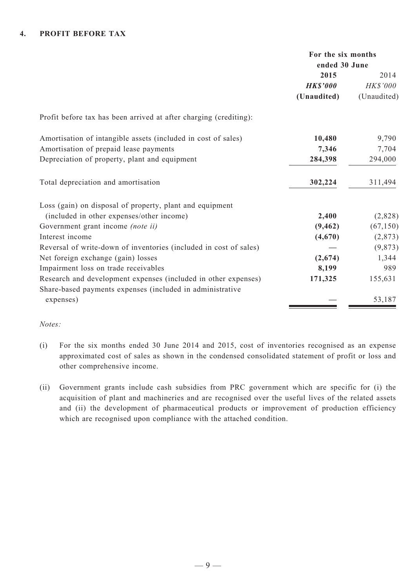#### **4. PROFIT BEFORE TAX**

|                                                                   | For the six months<br>ended 30 June |             |  |
|-------------------------------------------------------------------|-------------------------------------|-------------|--|
|                                                                   | 2015                                | 2014        |  |
|                                                                   | <b>HK\$'000</b>                     | HK\$'000    |  |
|                                                                   | (Unaudited)                         | (Unaudited) |  |
| Profit before tax has been arrived at after charging (crediting): |                                     |             |  |
| Amortisation of intangible assets (included in cost of sales)     | 10,480                              | 9,790       |  |
| Amortisation of prepaid lease payments                            | 7,346                               | 7,704       |  |
| Depreciation of property, plant and equipment                     | 284,398                             | 294,000     |  |
| Total depreciation and amortisation                               | 302,224                             | 311,494     |  |
| Loss (gain) on disposal of property, plant and equipment          |                                     |             |  |
| (included in other expenses/other income)                         | 2,400                               | (2,828)     |  |
| Government grant income <i>(note ii)</i>                          | (9, 462)                            | (67, 150)   |  |
| Interest income                                                   | (4,670)                             | (2, 873)    |  |
| Reversal of write-down of inventories (included in cost of sales) |                                     | (9, 873)    |  |
| Net foreign exchange (gain) losses                                | (2,674)                             | 1,344       |  |
| Impairment loss on trade receivables                              | 8,199                               | 989         |  |
| Research and development expenses (included in other expenses)    | 171,325                             | 155,631     |  |
| Share-based payments expenses (included in administrative         |                                     |             |  |
| expenses)                                                         |                                     | 53,187      |  |
|                                                                   |                                     |             |  |

#### *Notes:*

- (i) For the six months ended 30 June 2014 and 2015, cost of inventories recognised as an expense approximated cost of sales as shown in the condensed consolidated statement of profit or loss and other comprehensive income.
- (ii) Government grants include cash subsidies from PRC government which are specific for (i) the acquisition of plant and machineries and are recognised over the useful lives of the related assets and (ii) the development of pharmaceutical products or improvement of production efficiency which are recognised upon compliance with the attached condition.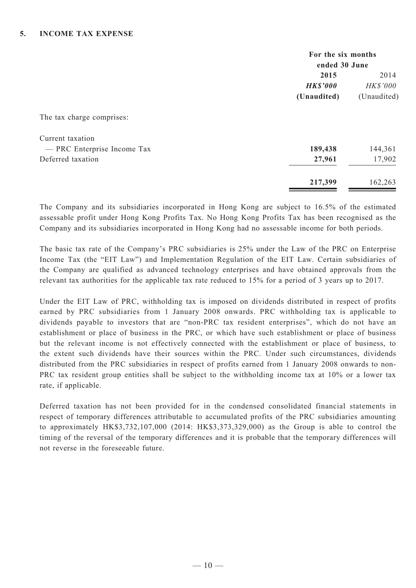|                             | For the six months<br>ended 30 June |                 |  |
|-----------------------------|-------------------------------------|-----------------|--|
|                             | 2015                                | 2014            |  |
|                             | <b>HK\$'000</b>                     | <b>HK\$'000</b> |  |
|                             | (Unaudited)                         | (Unaudited)     |  |
| The tax charge comprises:   |                                     |                 |  |
| Current taxation            |                                     |                 |  |
| - PRC Enterprise Income Tax | 189,438                             | 144,361         |  |
| Deferred taxation           | 27,961                              | 17,902          |  |
|                             | 217,399                             | 162,263         |  |

The Company and its subsidiaries incorporated in Hong Kong are subject to 16.5% of the estimated assessable profit under Hong Kong Profits Tax. No Hong Kong Profits Tax has been recognised as the Company and its subsidiaries incorporated in Hong Kong had no assessable income for both periods.

The basic tax rate of the Company's PRC subsidiaries is 25% under the Law of the PRC on Enterprise Income Tax (the "EIT Law") and Implementation Regulation of the EIT Law. Certain subsidiaries of the Company are qualified as advanced technology enterprises and have obtained approvals from the relevant tax authorities for the applicable tax rate reduced to 15% for a period of 3 years up to 2017.

Under the EIT Law of PRC, withholding tax is imposed on dividends distributed in respect of profits earned by PRC subsidiaries from 1 January 2008 onwards. PRC withholding tax is applicable to dividends payable to investors that are "non-PRC tax resident enterprises", which do not have an establishment or place of business in the PRC, or which have such establishment or place of business but the relevant income is not effectively connected with the establishment or place of business, to the extent such dividends have their sources within the PRC. Under such circumstances, dividends distributed from the PRC subsidiaries in respect of profits earned from 1 January 2008 onwards to non-PRC tax resident group entities shall be subject to the withholding income tax at 10% or a lower tax rate, if applicable.

Deferred taxation has not been provided for in the condensed consolidated financial statements in respect of temporary differences attributable to accumulated profits of the PRC subsidiaries amounting to approximately HK\$3,732,107,000 (2014: HK\$3,373,329,000) as the Group is able to control the timing of the reversal of the temporary differences and it is probable that the temporary differences will not reverse in the foreseeable future.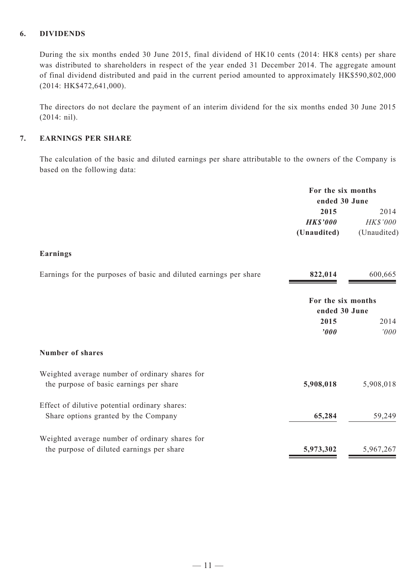#### **6. DIVIDENDS**

During the six months ended 30 June 2015, final dividend of HK10 cents (2014: HK8 cents) per share was distributed to shareholders in respect of the year ended 31 December 2014. The aggregate amount of final dividend distributed and paid in the current period amounted to approximately HK\$590,802,000 (2014: HK\$472,641,000).

The directors do not declare the payment of an interim dividend for the six months ended 30 June 2015 (2014: nil).

#### **7. EARNINGS PER SHARE**

The calculation of the basic and diluted earnings per share attributable to the owners of the Company is based on the following data:

|                                                                                             | For the six months<br>ended 30 June    |                                 |
|---------------------------------------------------------------------------------------------|----------------------------------------|---------------------------------|
|                                                                                             | 2015<br><b>HK\$'000</b><br>(Unaudited) | 2014<br>HK\$'000<br>(Unaudited) |
| <b>Earnings</b>                                                                             |                                        |                                 |
| Earnings for the purposes of basic and diluted earnings per share                           | 822,014                                | 600,665                         |
|                                                                                             | For the six months<br>ended 30 June    |                                 |
|                                                                                             | 2015<br>'000                           | 2014<br>'000                    |
| <b>Number of shares</b>                                                                     |                                        |                                 |
| Weighted average number of ordinary shares for<br>the purpose of basic earnings per share   | 5,908,018                              | 5,908,018                       |
| Effect of dilutive potential ordinary shares:<br>Share options granted by the Company       | 65,284                                 | 59,249                          |
| Weighted average number of ordinary shares for<br>the purpose of diluted earnings per share | 5,973,302                              | 5,967,267                       |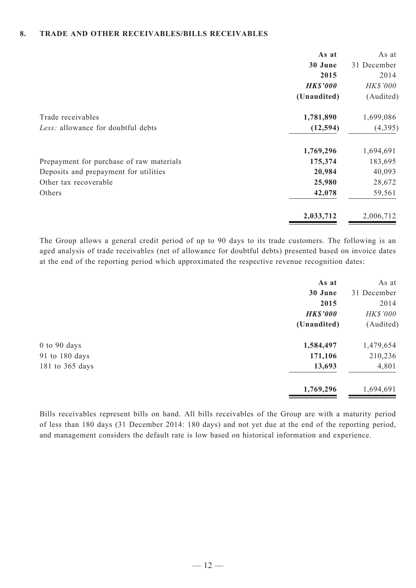#### **8. TRADE AND OTHER RECEIVABLES/BILLS RECEIVABLES**

|                                          | As at           | As at       |
|------------------------------------------|-----------------|-------------|
|                                          | 30 June         | 31 December |
|                                          | 2015            | 2014        |
|                                          | <b>HK\$'000</b> | HK\$'000    |
|                                          | (Unaudited)     | (Audited)   |
| Trade receivables                        | 1,781,890       | 1,699,086   |
| Less: allowance for doubtful debts       | (12, 594)       | (4, 395)    |
|                                          | 1,769,296       | 1,694,691   |
| Prepayment for purchase of raw materials | 175,374         | 183,695     |
| Deposits and prepayment for utilities    | 20,984          | 40,093      |
| Other tax recoverable                    | 25,980          | 28,672      |
| Others                                   | 42,078          | 59,561      |
|                                          | 2,033,712       | 2,006,712   |

The Group allows a general credit period of up to 90 days to its trade customers. The following is an aged analysis of trade receivables (net of allowance for doubtful debts) presented based on invoice dates at the end of the reporting period which approximated the respective revenue recognition dates:

|                  | As at           | As at       |
|------------------|-----------------|-------------|
|                  | 30 June         | 31 December |
|                  | 2015            | 2014        |
|                  | <b>HK\$'000</b> | HK\$'000    |
|                  | (Unaudited)     | (Audited)   |
| $0$ to $90$ days | 1,584,497       | 1,479,654   |
| 91 to 180 days   | 171,106         | 210,236     |
| 181 to 365 days  | 13,693          | 4,801       |
|                  | 1,769,296       | 1,694,691   |

Bills receivables represent bills on hand. All bills receivables of the Group are with a maturity period of less than 180 days (31 December 2014: 180 days) and not yet due at the end of the reporting period, and management considers the default rate is low based on historical information and experience.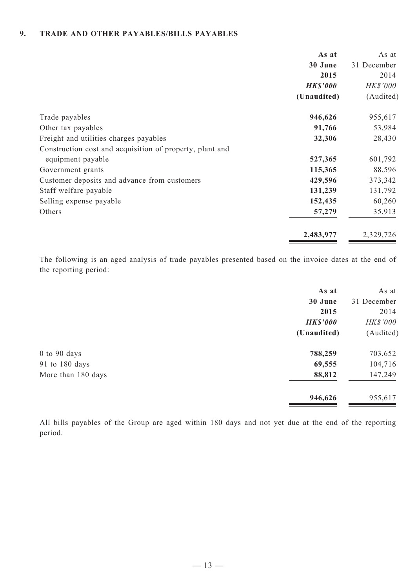#### **9. TRADE AND OTHER PAYABLES/BILLS PAYABLES**

|                                                          | As at           | As at           |
|----------------------------------------------------------|-----------------|-----------------|
|                                                          | 30 June         | 31 December     |
|                                                          | 2015            | 2014            |
|                                                          | <b>HK\$'000</b> | <b>HK\$'000</b> |
|                                                          | (Unaudited)     | (Audited)       |
| Trade payables                                           | 946,626         | 955,617         |
| Other tax payables                                       | 91,766          | 53,984          |
| Freight and utilities charges payables                   | 32,306          | 28,430          |
| Construction cost and acquisition of property, plant and |                 |                 |
| equipment payable                                        | 527,365         | 601,792         |
| Government grants                                        | 115,365         | 88,596          |
| Customer deposits and advance from customers             | 429,596         | 373,342         |
| Staff welfare payable                                    | 131,239         | 131,792         |
| Selling expense payable                                  | 152,435         | 60,260          |
| Others                                                   | 57,279          | 35,913          |
|                                                          | 2,483,977       | 2,329,726       |

The following is an aged analysis of trade payables presented based on the invoice dates at the end of the reporting period:

| As at           | As at       |
|-----------------|-------------|
| 30 June         | 31 December |
| 2015            | 2014        |
| <b>HK\$'000</b> | HK\$'000    |
| (Unaudited)     | (Audited)   |
| 788,259         | 703,652     |
| 69,555          | 104,716     |
| 88,812          | 147,249     |
| 946,626         | 955,617     |
|                 |             |

All bills payables of the Group are aged within 180 days and not yet due at the end of the reporting period.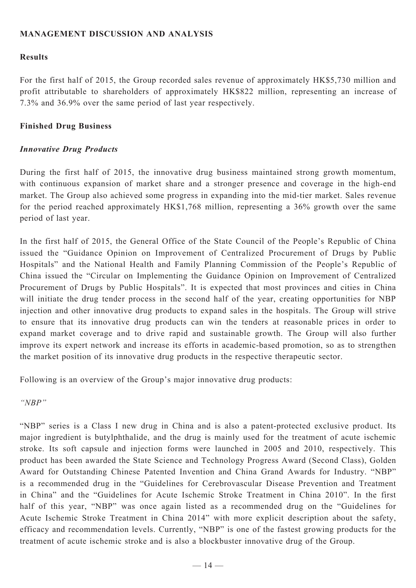### **MANAGEMENT DISCUSSION AND ANALYSIS**

### **Results**

For the first half of 2015, the Group recorded sales revenue of approximately HK\$5,730 million and profit attributable to shareholders of approximately HK\$822 million, representing an increase of 7.3% and 36.9% over the same period of last year respectively.

### **Finished Drug Business**

### *Innovative Drug Products*

During the first half of 2015, the innovative drug business maintained strong growth momentum, with continuous expansion of market share and a stronger presence and coverage in the high-end market. The Group also achieved some progress in expanding into the mid-tier market. Sales revenue for the period reached approximately HK\$1,768 million, representing a 36% growth over the same period of last year.

In the first half of 2015, the General Office of the State Council of the People's Republic of China issued the "Guidance Opinion on Improvement of Centralized Procurement of Drugs by Public Hospitals" and the National Health and Family Planning Commission of the People's Republic of China issued the "Circular on Implementing the Guidance Opinion on Improvement of Centralized Procurement of Drugs by Public Hospitals". It is expected that most provinces and cities in China will initiate the drug tender process in the second half of the year, creating opportunities for NBP injection and other innovative drug products to expand sales in the hospitals. The Group will strive to ensure that its innovative drug products can win the tenders at reasonable prices in order to expand market coverage and to drive rapid and sustainable growth. The Group will also further improve its expert network and increase its efforts in academic-based promotion, so as to strengthen the market position of its innovative drug products in the respective therapeutic sector.

Following is an overview of the Group's major innovative drug products:

*"NBP"*

"NBP" series is a Class I new drug in China and is also a patent-protected exclusive product. Its major ingredient is butylphthalide, and the drug is mainly used for the treatment of acute ischemic stroke. Its soft capsule and injection forms were launched in 2005 and 2010, respectively. This product has been awarded the State Science and Technology Progress Award (Second Class), Golden Award for Outstanding Chinese Patented Invention and China Grand Awards for Industry. "NBP" is a recommended drug in the "Guidelines for Cerebrovascular Disease Prevention and Treatment in China" and the "Guidelines for Acute Ischemic Stroke Treatment in China 2010". In the first half of this year, "NBP" was once again listed as a recommended drug on the "Guidelines for Acute Ischemic Stroke Treatment in China 2014" with more explicit description about the safety, efficacy and recommendation levels. Currently, "NBP" is one of the fastest growing products for the treatment of acute ischemic stroke and is also a blockbuster innovative drug of the Group.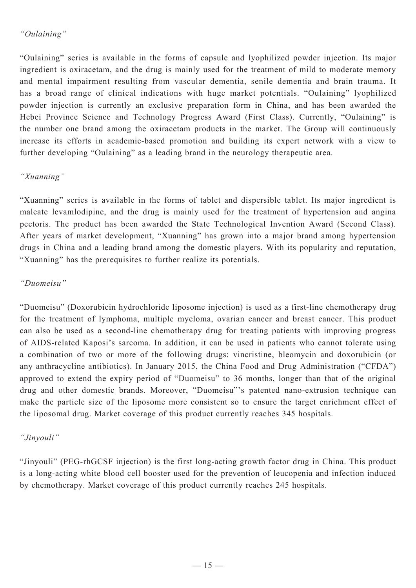# *"Oulaining"*

"Oulaining" series is available in the forms of capsule and lyophilized powder injection. Its major ingredient is oxiracetam, and the drug is mainly used for the treatment of mild to moderate memory and mental impairment resulting from vascular dementia, senile dementia and brain trauma. It has a broad range of clinical indications with huge market potentials. "Oulaining" lyophilized powder injection is currently an exclusive preparation form in China, and has been awarded the Hebei Province Science and Technology Progress Award (First Class). Currently, "Oulaining" is the number one brand among the oxiracetam products in the market. The Group will continuously increase its efforts in academic-based promotion and building its expert network with a view to further developing "Oulaining" as a leading brand in the neurology therapeutic area.

# *"Xuanning"*

"Xuanning" series is available in the forms of tablet and dispersible tablet. Its major ingredient is maleate levamlodipine, and the drug is mainly used for the treatment of hypertension and angina pectoris. The product has been awarded the State Technological Invention Award (Second Class). After years of market development, "Xuanning" has grown into a major brand among hypertension drugs in China and a leading brand among the domestic players. With its popularity and reputation, "Xuanning" has the prerequisites to further realize its potentials.

# *"Duomeisu"*

"Duomeisu" (Doxorubicin hydrochloride liposome injection) is used as a first-line chemotherapy drug for the treatment of lymphoma, multiple myeloma, ovarian cancer and breast cancer. This product can also be used as a second-line chemotherapy drug for treating patients with improving progress of AIDS-related Kaposi's sarcoma. In addition, it can be used in patients who cannot tolerate using a combination of two or more of the following drugs: vincristine, bleomycin and doxorubicin (or any anthracycline antibiotics). In January 2015, the China Food and Drug Administration ("CFDA") approved to extend the expiry period of "Duomeisu" to 36 months, longer than that of the original drug and other domestic brands. Moreover, "Duomeisu"'s patented nano-extrusion technique can make the particle size of the liposome more consistent so to ensure the target enrichment effect of the liposomal drug. Market coverage of this product currently reaches 345 hospitals.

# *"Jinyouli"*

"Jinyouli" (PEG-rhGCSF injection) is the first long-acting growth factor drug in China. This product is a long-acting white blood cell booster used for the prevention of leucopenia and infection induced by chemotherapy. Market coverage of this product currently reaches 245 hospitals.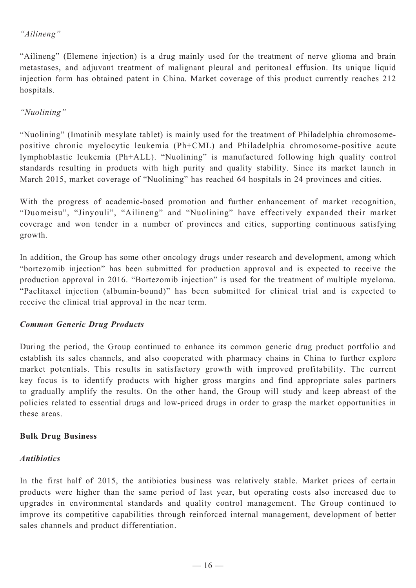# *"Ailineng"*

"Ailineng" (Elemene injection) is a drug mainly used for the treatment of nerve glioma and brain metastases, and adjuvant treatment of malignant pleural and peritoneal effusion. Its unique liquid injection form has obtained patent in China. Market coverage of this product currently reaches 212 hospitals.

# *"Nuolining"*

"Nuolining" (Imatinib mesylate tablet) is mainly used for the treatment of Philadelphia chromosomepositive chronic myelocytic leukemia (Ph+CML) and Philadelphia chromosome-positive acute lymphoblastic leukemia (Ph+ALL). "Nuolining" is manufactured following high quality control standards resulting in products with high purity and quality stability. Since its market launch in March 2015, market coverage of "Nuolining" has reached 64 hospitals in 24 provinces and cities.

With the progress of academic-based promotion and further enhancement of market recognition, "Duomeisu", "Jinyouli", "Ailineng" and "Nuolining" have effectively expanded their market coverage and won tender in a number of provinces and cities, supporting continuous satisfying growth.

In addition, the Group has some other oncology drugs under research and development, among which "bortezomib injection" has been submitted for production approval and is expected to receive the production approval in 2016. "Bortezomib injection" is used for the treatment of multiple myeloma. "Paclitaxel injection (albumin-bound)" has been submitted for clinical trial and is expected to receive the clinical trial approval in the near term.

# *Common Generic Drug Products*

During the period, the Group continued to enhance its common generic drug product portfolio and establish its sales channels, and also cooperated with pharmacy chains in China to further explore market potentials. This results in satisfactory growth with improved profitability. The current key focus is to identify products with higher gross margins and find appropriate sales partners to gradually amplify the results. On the other hand, the Group will study and keep abreast of the policies related to essential drugs and low-priced drugs in order to grasp the market opportunities in these areas.

### **Bulk Drug Business**

### *Antibiotics*

In the first half of 2015, the antibiotics business was relatively stable. Market prices of certain products were higher than the same period of last year, but operating costs also increased due to upgrades in environmental standards and quality control management. The Group continued to improve its competitive capabilities through reinforced internal management, development of better sales channels and product differentiation.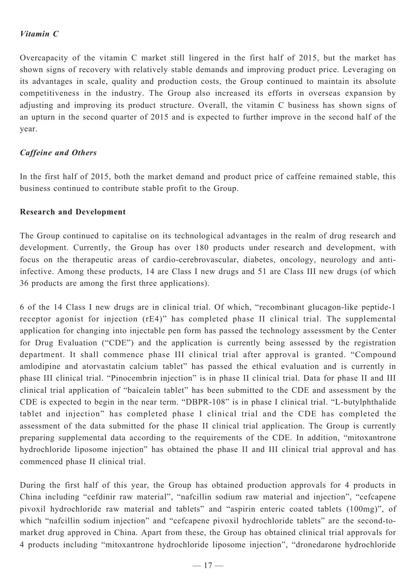### *Vitamin C*

Overcapacity of the vitamin C market still lingered in the first half of 2015, but the market has shown signs of recovery with relatively stable demands and improving product price. Leveraging on its advantages in scale, quality and production costs, the Group continued to maintain its absolute competitiveness in the industry. The Group also increased its efforts in overseas expansion by adjusting and improving its product structure. Overall, the vitamin C business has shown signs of an upturn in the second quarter of 2015 and is expected to further improve in the second half of the year.

### *Caffeine and Others*

In the first half of 2015, both the market demand and product price of caffeine remained stable, this business continued to contribute stable profit to the Group.

#### **Research and Development**

The Group continued to capitalise on its technological advantages in the realm of drug research and development. Currently, the Group has over 180 products under research and development, with focus on the therapeutic areas of cardio-cerebrovascular, diabetes, oncology, neurology and antiinfective. Among these products, 14 are Class I new drugs and 51 are Class III new drugs (of which 36 products are among the first three applications).

6 of the 14 Class I new drugs are in clinical trial. Of which, "recombinant glucagon-like peptide-1 receptor agonist for injection (rE4)" has completed phase II clinical trial. The supplemental application for changing into injectable pen form has passed the technology assessment by the Center for Drug Evaluation ("CDE") and the application is currently being assessed by the registration department. It shall commence phase III clinical trial after approval is granted. "Compound amlodipine and atorvastatin calcium tablet" has passed the ethical evaluation and is currently in phase III clinical trial. "Pinocembrin injection" is in phase II clinical trial. Data for phase II and III clinical trial application of "baicalein tablet" has been submitted to the CDE and assessment by the CDE is expected to begin in the near term. "DBPR-108" is in phase I clinical trial. "L-butylphthalide tablet and injection" has completed phase I clinical trial and the CDE has completed the assessment of the data submitted for the phase II clinical trial application. The Group is currently preparing supplemental data according to the requirements of the CDE. In addition, "mitoxantrone hydrochloride liposome injection" has obtained the phase II and III clinical trial approval and has commenced phase II clinical trial.

During the first half of this year, the Group has obtained production approvals for 4 products in China including "cefdinir raw material", "nafcillin sodium raw material and injection", "cefcapene pivoxil hydrochloride raw material and tablets" and "aspirin enteric coated tablets (100mg)", of which "nafcillin sodium injection" and "cefcapene pivoxil hydrochloride tablets" are the second-tomarket drug approved in China. Apart from these, the Group has obtained clinical trial approvals for 4 products including "mitoxantrone hydrochloride liposome injection", "dronedarone hydrochloride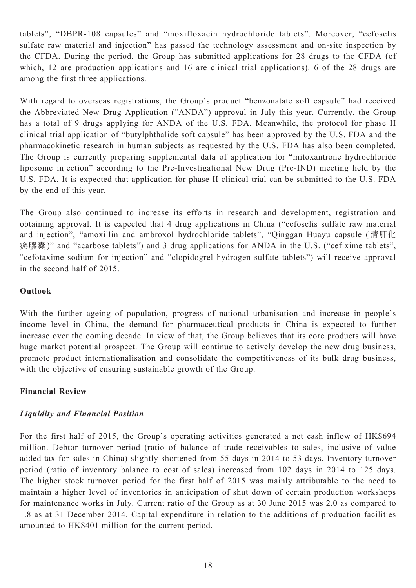tablets", "DBPR-108 capsules" and "moxifloxacin hydrochloride tablets". Moreover, "cefoselis sulfate raw material and injection" has passed the technology assessment and on-site inspection by the CFDA. During the period, the Group has submitted applications for 28 drugs to the CFDA (of which, 12 are production applications and 16 are clinical trial applications). 6 of the 28 drugs are among the first three applications.

With regard to overseas registrations, the Group's product "benzonatate soft capsule" had received the Abbreviated New Drug Application ("ANDA") approval in July this year. Currently, the Group has a total of 9 drugs applying for ANDA of the U.S. FDA. Meanwhile, the protocol for phase II clinical trial application of "butylphthalide soft capsule" has been approved by the U.S. FDA and the pharmacokinetic research in human subjects as requested by the U.S. FDA has also been completed. The Group is currently preparing supplemental data of application for "mitoxantrone hydrochloride liposome injection" according to the Pre-Investigational New Drug (Pre-IND) meeting held by the U.S. FDA. It is expected that application for phase II clinical trial can be submitted to the U.S. FDA by the end of this year.

The Group also continued to increase its efforts in research and development, registration and obtaining approval. It is expected that 4 drug applications in China ("cefoselis sulfate raw material and injection", "amoxillin and ambroxol hydrochloride tablets", "Qinggan Huayu capsule ( 清肝化 瘀膠囊)" and "acarbose tablets") and 3 drug applications for ANDA in the U.S. ("cefixime tablets", "cefotaxime sodium for injection" and "clopidogrel hydrogen sulfate tablets") will receive approval in the second half of 2015.

# **Outlook**

With the further ageing of population, progress of national urbanisation and increase in people's income level in China, the demand for pharmaceutical products in China is expected to further increase over the coming decade. In view of that, the Group believes that its core products will have huge market potential prospect. The Group will continue to actively develop the new drug business, promote product internationalisation and consolidate the competitiveness of its bulk drug business, with the objective of ensuring sustainable growth of the Group.

# **Financial Review**

# *Liquidity and Financial Position*

For the first half of 2015, the Group's operating activities generated a net cash inflow of HK\$694 million. Debtor turnover period (ratio of balance of trade receivables to sales, inclusive of value added tax for sales in China) slightly shortened from 55 days in 2014 to 53 days. Inventory turnover period (ratio of inventory balance to cost of sales) increased from 102 days in 2014 to 125 days. The higher stock turnover period for the first half of 2015 was mainly attributable to the need to maintain a higher level of inventories in anticipation of shut down of certain production workshops for maintenance works in July. Current ratio of the Group as at 30 June 2015 was 2.0 as compared to 1.8 as at 31 December 2014. Capital expenditure in relation to the additions of production facilities amounted to HK\$401 million for the current period.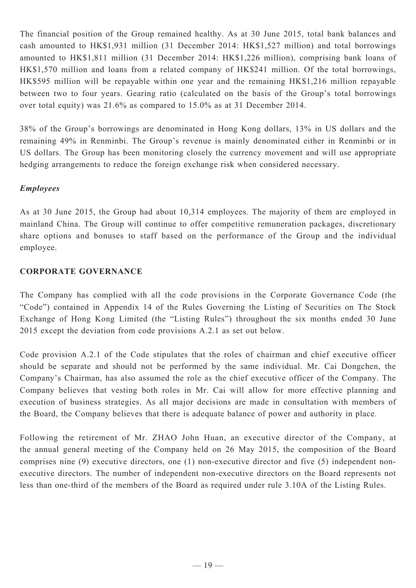The financial position of the Group remained healthy. As at 30 June 2015, total bank balances and cash amounted to HK\$1,931 million (31 December 2014: HK\$1,527 million) and total borrowings amounted to HK\$1,811 million (31 December 2014: HK\$1,226 million), comprising bank loans of HK\$1,570 million and loans from a related company of HK\$241 million. Of the total borrowings, HK\$595 million will be repayable within one year and the remaining HK\$1,216 million repayable between two to four years. Gearing ratio (calculated on the basis of the Group's total borrowings over total equity) was 21.6% as compared to 15.0% as at 31 December 2014.

38% of the Group's borrowings are denominated in Hong Kong dollars, 13% in US dollars and the remaining 49% in Renminbi. The Group's revenue is mainly denominated either in Renminbi or in US dollars. The Group has been monitoring closely the currency movement and will use appropriate hedging arrangements to reduce the foreign exchange risk when considered necessary.

### *Employees*

As at 30 June 2015, the Group had about 10,314 employees. The majority of them are employed in mainland China. The Group will continue to offer competitive remuneration packages, discretionary share options and bonuses to staff based on the performance of the Group and the individual employee.

### **CORPORATE GOVERNANCE**

The Company has complied with all the code provisions in the Corporate Governance Code (the "Code") contained in Appendix 14 of the Rules Governing the Listing of Securities on The Stock Exchange of Hong Kong Limited (the "Listing Rules") throughout the six months ended 30 June 2015 except the deviation from code provisions A.2.1 as set out below.

Code provision A.2.1 of the Code stipulates that the roles of chairman and chief executive officer should be separate and should not be performed by the same individual. Mr. Cai Dongchen, the Company's Chairman, has also assumed the role as the chief executive officer of the Company. The Company believes that vesting both roles in Mr. Cai will allow for more effective planning and execution of business strategies. As all major decisions are made in consultation with members of the Board, the Company believes that there is adequate balance of power and authority in place.

Following the retirement of Mr. ZHAO John Huan, an executive director of the Company, at the annual general meeting of the Company held on 26 May 2015, the composition of the Board comprises nine (9) executive directors, one (1) non-executive director and five (5) independent nonexecutive directors. The number of independent non-executive directors on the Board represents not less than one-third of the members of the Board as required under rule 3.10A of the Listing Rules.